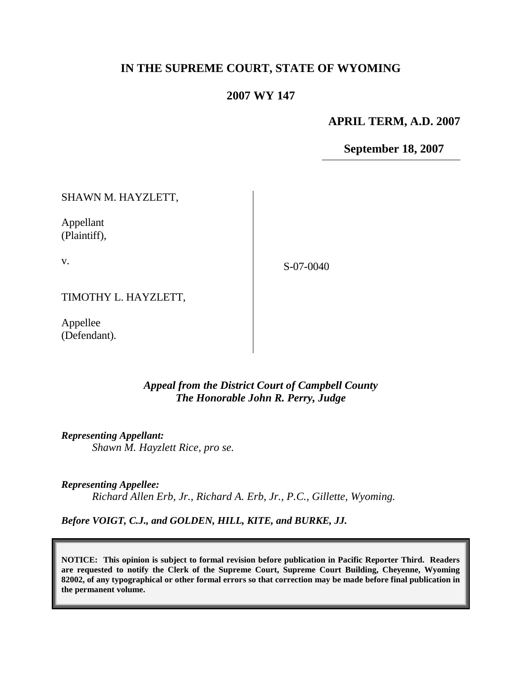# **IN THE SUPREME COURT, STATE OF WYOMING**

### **2007 WY 147**

**APRIL TERM, A.D. 2007**

**September 18, 2007**

SHAWN M. HAYZLETT,

Appellant (Plaintiff),

v.

S-07-0040

TIMOTHY L. HAYZLETT,

Appellee (Defendant).

## *Appeal from the District Court of Campbell County The Honorable John R. Perry, Judge*

*Representing Appellant: Shawn M. Hayzlett Rice, pro se.*

*Representing Appellee: Richard Allen Erb, Jr., Richard A. Erb, Jr., P.C., Gillette, Wyoming.*

*Before VOIGT, C.J., and GOLDEN, HILL, KITE, and BURKE, JJ.*

**NOTICE: This opinion is subject to formal revision before publication in Pacific Reporter Third. Readers are requested to notify the Clerk of the Supreme Court, Supreme Court Building, Cheyenne, Wyoming 82002, of any typographical or other formal errors so that correction may be made before final publication in the permanent volume.**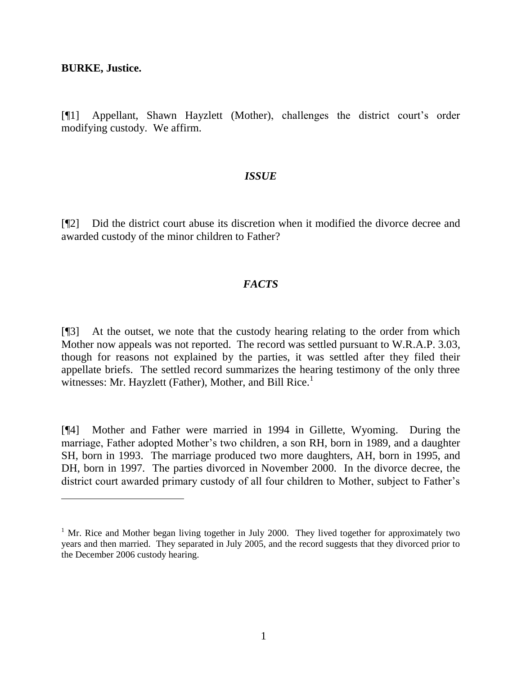**BURKE, Justice.**

[¶1] Appellant, Shawn Hayzlett (Mother), challenges the district court's order modifying custody. We affirm.

#### *ISSUE*

[¶2] Did the district court abuse its discretion when it modified the divorce decree and awarded custody of the minor children to Father?

#### *FACTS*

[¶3] At the outset, we note that the custody hearing relating to the order from which Mother now appeals was not reported. The record was settled pursuant to W.R.A.P. 3.03, though for reasons not explained by the parties, it was settled after they filed their appellate briefs. The settled record summarizes the hearing testimony of the only three witnesses: Mr. Hayzlett (Father), Mother, and Bill Rice.<sup>1</sup>

[¶4] Mother and Father were married in 1994 in Gillette, Wyoming. During the marriage, Father adopted Mother's two children, a son RH, born in 1989, and a daughter SH, born in 1993. The marriage produced two more daughters, AH, born in 1995, and DH, born in 1997. The parties divorced in November 2000. In the divorce decree, the district court awarded primary custody of all four children to Mother, subject to Father's

<sup>&</sup>lt;sup>1</sup> Mr. Rice and Mother began living together in July 2000. They lived together for approximately two years and then married. They separated in July 2005, and the record suggests that they divorced prior to the December 2006 custody hearing.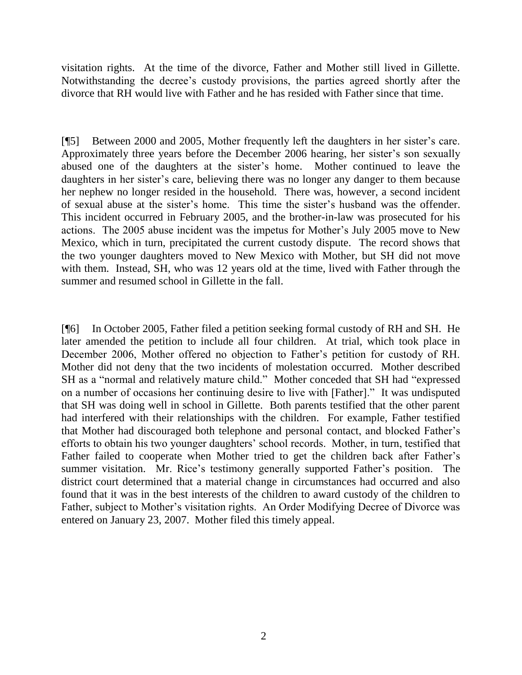visitation rights. At the time of the divorce, Father and Mother still lived in Gillette. Notwithstanding the decree's custody provisions, the parties agreed shortly after the divorce that RH would live with Father and he has resided with Father since that time.

[¶5] Between 2000 and 2005, Mother frequently left the daughters in her sister's care. Approximately three years before the December 2006 hearing, her sister's son sexually abused one of the daughters at the sister's home. Mother continued to leave the daughters in her sister's care, believing there was no longer any danger to them because her nephew no longer resided in the household. There was, however, a second incident of sexual abuse at the sister's home. This time the sister's husband was the offender. This incident occurred in February 2005, and the brother-in-law was prosecuted for his actions. The 2005 abuse incident was the impetus for Mother's July 2005 move to New Mexico, which in turn, precipitated the current custody dispute. The record shows that the two younger daughters moved to New Mexico with Mother, but SH did not move with them. Instead, SH, who was 12 years old at the time, lived with Father through the summer and resumed school in Gillette in the fall.

[¶6] In October 2005, Father filed a petition seeking formal custody of RH and SH. He later amended the petition to include all four children. At trial, which took place in December 2006, Mother offered no objection to Father's petition for custody of RH. Mother did not deny that the two incidents of molestation occurred. Mother described SH as a "normal and relatively mature child." Mother conceded that SH had "expressed on a number of occasions her continuing desire to live with [Father]." It was undisputed that SH was doing well in school in Gillette. Both parents testified that the other parent had interfered with their relationships with the children. For example, Father testified that Mother had discouraged both telephone and personal contact, and blocked Father's efforts to obtain his two younger daughters' school records. Mother, in turn, testified that Father failed to cooperate when Mother tried to get the children back after Father's summer visitation. Mr. Rice's testimony generally supported Father's position. The district court determined that a material change in circumstances had occurred and also found that it was in the best interests of the children to award custody of the children to Father, subject to Mother's visitation rights. An Order Modifying Decree of Divorce was entered on January 23, 2007. Mother filed this timely appeal.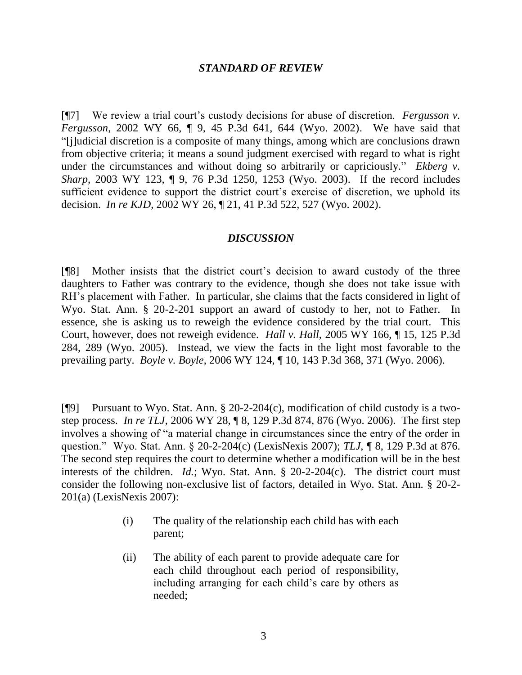#### *STANDARD OF REVIEW*

[¶7] We review a trial court's custody decisions for abuse of discretion. *Fergusson v. Fergusson*, 2002 WY 66, ¶ 9, 45 P.3d 641, 644 (Wyo. 2002). We have said that "[j]udicial discretion is a composite of many things, among which are conclusions drawn from objective criteria; it means a sound judgment exercised with regard to what is right under the circumstances and without doing so arbitrarily or capriciously." *Ekberg v. Sharp*, 2003 WY 123, ¶ 9, 76 P.3d 1250, 1253 (Wyo. 2003). If the record includes sufficient evidence to support the district court's exercise of discretion, we uphold its decision. *In re KJD*, 2002 WY 26, ¶ 21, 41 P.3d 522, 527 (Wyo. 2002).

#### *DISCUSSION*

[¶8] Mother insists that the district court's decision to award custody of the three daughters to Father was contrary to the evidence, though she does not take issue with RH's placement with Father. In particular, she claims that the facts considered in light of Wyo. Stat. Ann. § 20-2-201 support an award of custody to her, not to Father. In essence, she is asking us to reweigh the evidence considered by the trial court. This Court, however, does not reweigh evidence. *Hall v. Hall*, 2005 WY 166, ¶ 15, 125 P.3d 284, 289 (Wyo. 2005). Instead, we view the facts in the light most favorable to the prevailing party. *Boyle v. Boyle*, 2006 WY 124, ¶ 10, 143 P.3d 368, 371 (Wyo. 2006).

[¶9] Pursuant to Wyo. Stat. Ann. § 20-2-204(c), modification of child custody is a twostep process. *In re TLJ*, 2006 WY 28, ¶ 8, 129 P.3d 874, 876 (Wyo. 2006). The first step involves a showing of "a material change in circumstances since the entry of the order in question." Wyo. Stat. Ann. § 20-2-204(c) (LexisNexis 2007); *TLJ*, ¶ 8, 129 P.3d at 876. The second step requires the court to determine whether a modification will be in the best interests of the children. *Id.*; Wyo. Stat. Ann. § 20-2-204(c). The district court must consider the following non-exclusive list of factors, detailed in Wyo. Stat. Ann. § 20-2- 201(a) (LexisNexis 2007):

- (i) The quality of the relationship each child has with each parent;
- (ii) The ability of each parent to provide adequate care for each child throughout each period of responsibility, including arranging for each child's care by others as needed;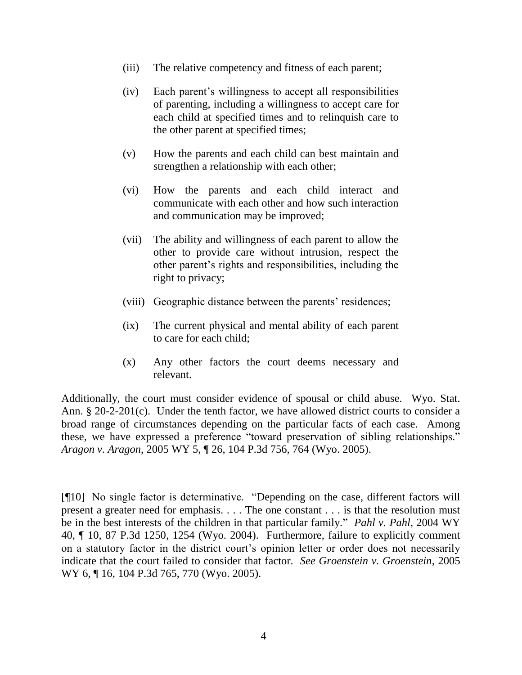- (iii) The relative competency and fitness of each parent;
- (iv) Each parent's willingness to accept all responsibilities of parenting, including a willingness to accept care for each child at specified times and to relinquish care to the other parent at specified times;
- (v) How the parents and each child can best maintain and strengthen a relationship with each other;
- (vi) How the parents and each child interact and communicate with each other and how such interaction and communication may be improved;
- (vii) The ability and willingness of each parent to allow the other to provide care without intrusion, respect the other parent's rights and responsibilities, including the right to privacy;
- (viii) Geographic distance between the parents' residences;
- (ix) The current physical and mental ability of each parent to care for each child;
- (x) Any other factors the court deems necessary and relevant.

Additionally, the court must consider evidence of spousal or child abuse. Wyo. Stat. Ann. § 20-2-201(c). Under the tenth factor, we have allowed district courts to consider a broad range of circumstances depending on the particular facts of each case. Among these, we have expressed a preference "toward preservation of sibling relationships." *Aragon v. Aragon*, 2005 WY 5, ¶ 26, 104 P.3d 756, 764 (Wyo. 2005).

[¶10] No single factor is determinative. "Depending on the case, different factors will present a greater need for emphasis. . . . The one constant . . . is that the resolution must be in the best interests of the children in that particular family." *Pahl v. Pahl*, 2004 WY 40, ¶ 10, 87 P.3d 1250, 1254 (Wyo. 2004). Furthermore, failure to explicitly comment on a statutory factor in the district court's opinion letter or order does not necessarily indicate that the court failed to consider that factor. *See Groenstein v. Groenstein*, 2005 WY 6, ¶ 16, 104 P.3d 765, 770 (Wyo. 2005).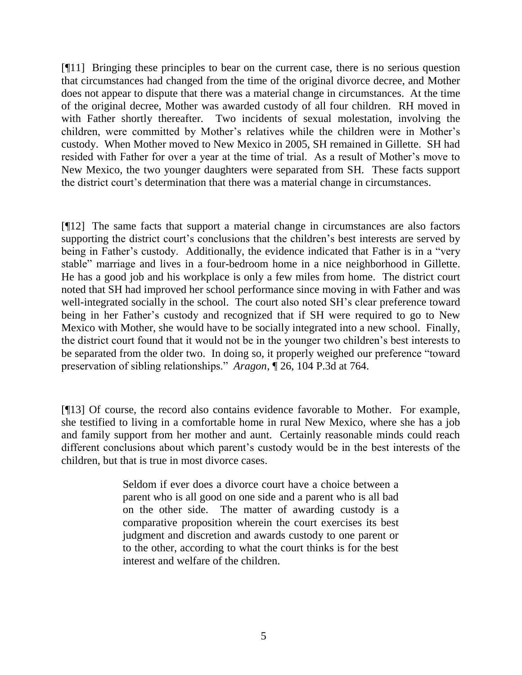[¶11] Bringing these principles to bear on the current case, there is no serious question that circumstances had changed from the time of the original divorce decree, and Mother does not appear to dispute that there was a material change in circumstances. At the time of the original decree, Mother was awarded custody of all four children. RH moved in with Father shortly thereafter. Two incidents of sexual molestation, involving the children, were committed by Mother's relatives while the children were in Mother's custody. When Mother moved to New Mexico in 2005, SH remained in Gillette. SH had resided with Father for over a year at the time of trial. As a result of Mother's move to New Mexico, the two younger daughters were separated from SH. These facts support the district court's determination that there was a material change in circumstances.

[¶12] The same facts that support a material change in circumstances are also factors supporting the district court's conclusions that the children's best interests are served by being in Father's custody. Additionally, the evidence indicated that Father is in a "very stable" marriage and lives in a four-bedroom home in a nice neighborhood in Gillette. He has a good job and his workplace is only a few miles from home. The district court noted that SH had improved her school performance since moving in with Father and was well-integrated socially in the school. The court also noted SH's clear preference toward being in her Father's custody and recognized that if SH were required to go to New Mexico with Mother, she would have to be socially integrated into a new school. Finally, the district court found that it would not be in the younger two children's best interests to be separated from the older two. In doing so, it properly weighed our preference "toward preservation of sibling relationships." *Aragon*, ¶ 26, 104 P.3d at 764.

[¶13] Of course, the record also contains evidence favorable to Mother. For example, she testified to living in a comfortable home in rural New Mexico, where she has a job and family support from her mother and aunt. Certainly reasonable minds could reach different conclusions about which parent's custody would be in the best interests of the children, but that is true in most divorce cases.

> Seldom if ever does a divorce court have a choice between a parent who is all good on one side and a parent who is all bad on the other side. The matter of awarding custody is a comparative proposition wherein the court exercises its best judgment and discretion and awards custody to one parent or to the other, according to what the court thinks is for the best interest and welfare of the children.